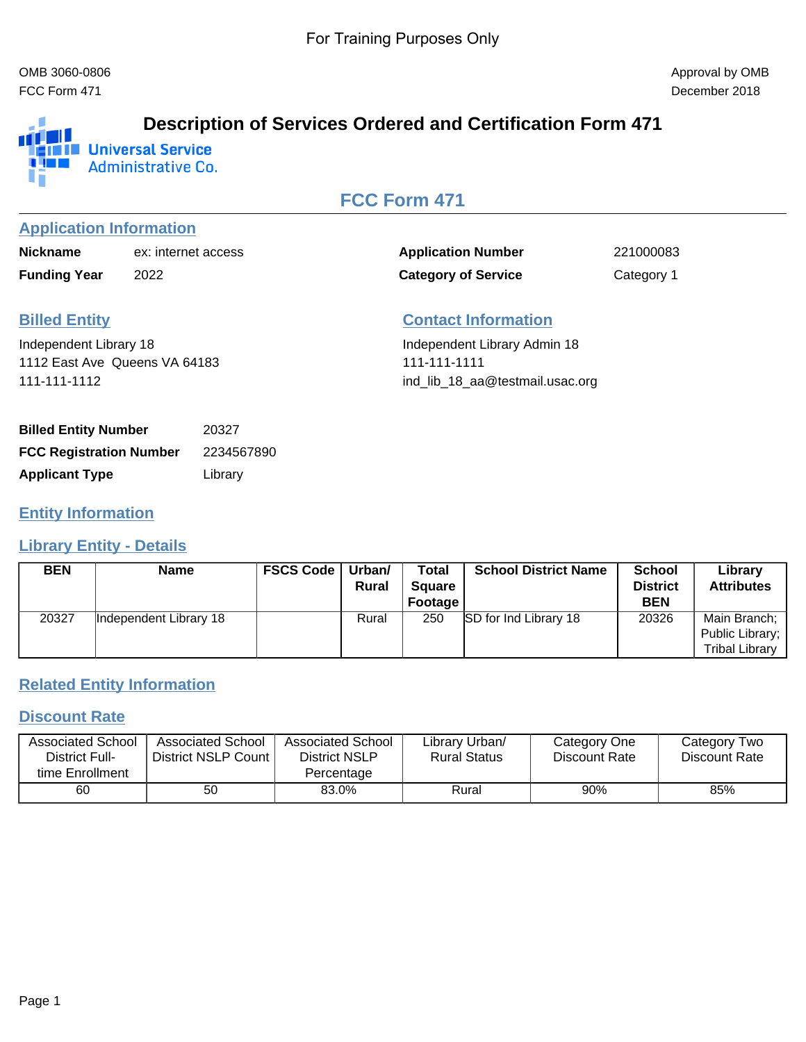FCC Form 471 December 2018



# **Description of Services Ordered and Certification Form 471**

**Administrative Co.** 

# **FCC Form 471**

#### **Application Information**

| <b>Nickname</b>     | ex: internet access |
|---------------------|---------------------|
| <b>Funding Year</b> | 2022                |

Application Number 221000083 **Category of Service** Category 1

# **Billed Entity**

Independent Library 18 1112 East Ave Queens VA 64183 111-111-1112

## **Contact Information**

Independent Library Admin 18 111-111-1111 ind\_lib\_18\_aa@testmail.usac.org

| <b>Billed Entity Number</b>    | 20327      |
|--------------------------------|------------|
| <b>FCC Registration Number</b> | 2234567890 |
| <b>Applicant Type</b>          | Library    |

#### **Entity Information**

#### **Library Entity - Details**

| <b>BEN</b> | <b>Name</b>            | <b>FSCS Code</b> | Urban/<br><b>Rural</b> | <b>Total</b><br><b>Square</b><br>Footage | <b>School District Name</b>  | <b>School</b><br><b>District</b><br><b>BEN</b> | Library<br><b>Attributes</b>                             |
|------------|------------------------|------------------|------------------------|------------------------------------------|------------------------------|------------------------------------------------|----------------------------------------------------------|
| 20327      | Independent Library 18 |                  | Rural                  | 250                                      | <b>SD</b> for Ind Library 18 | 20326                                          | Main Branch;<br>Public Library;<br><b>Tribal Library</b> |

## **Related Entity Information**

#### **Discount Rate**

| <b>Associated School</b><br>District Full- | <b>Associated School</b><br>District NSLP Count I | Associated School<br>District NSLP | Library Urban/<br><b>Rural Status</b> | Category One<br>Discount Rate | Category Two<br>Discount Rate |
|--------------------------------------------|---------------------------------------------------|------------------------------------|---------------------------------------|-------------------------------|-------------------------------|
| time Enrollment                            |                                                   | Percentage                         |                                       |                               |                               |
| 60                                         | 50                                                | 83.0%                              | Rural                                 | 90%                           | 85%                           |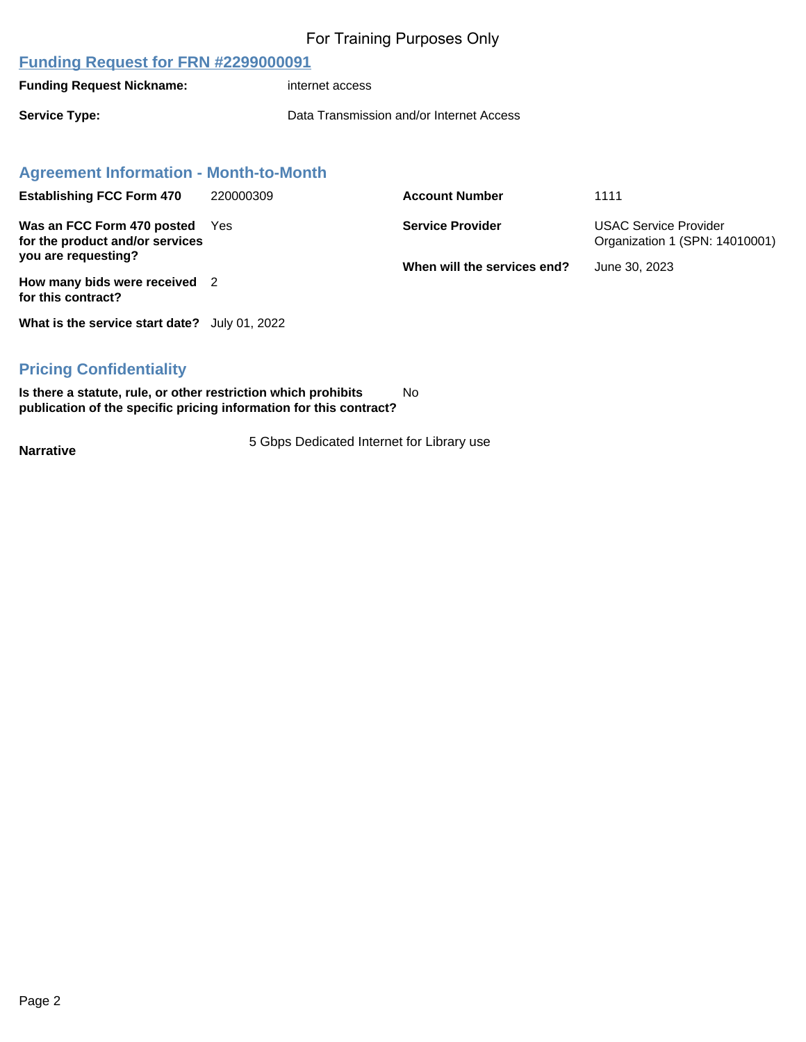#### **Funding Request for FRN #2299000091**

**Funding Request Nickname:** internet access

**Service Type:** Data Transmission and/or Internet Access

#### **Agreement Information - Month-to-Month**

| <b>Establishing FCC Form 470</b>                                  | 220000309 | <b>Account Number</b>       | 1111                                                           |
|-------------------------------------------------------------------|-----------|-----------------------------|----------------------------------------------------------------|
| Was an FCC Form 470 posted Yes<br>for the product and/or services |           | <b>Service Provider</b>     | <b>USAC Service Provider</b><br>Organization 1 (SPN: 14010001) |
| you are requesting?                                               |           | When will the services end? | June 30, 2023                                                  |
| How many bids were received 2<br>for this contract?               |           |                             |                                                                |
|                                                                   |           |                             |                                                                |

**What is the service start date?** July 01, 2022

#### **Pricing Confidentiality**

**Is there a statute, rule, or other restriction which prohibits publication of the specific pricing information for this contract?** No

**Narrative** 5 Gbps Dedicated Internet for Library use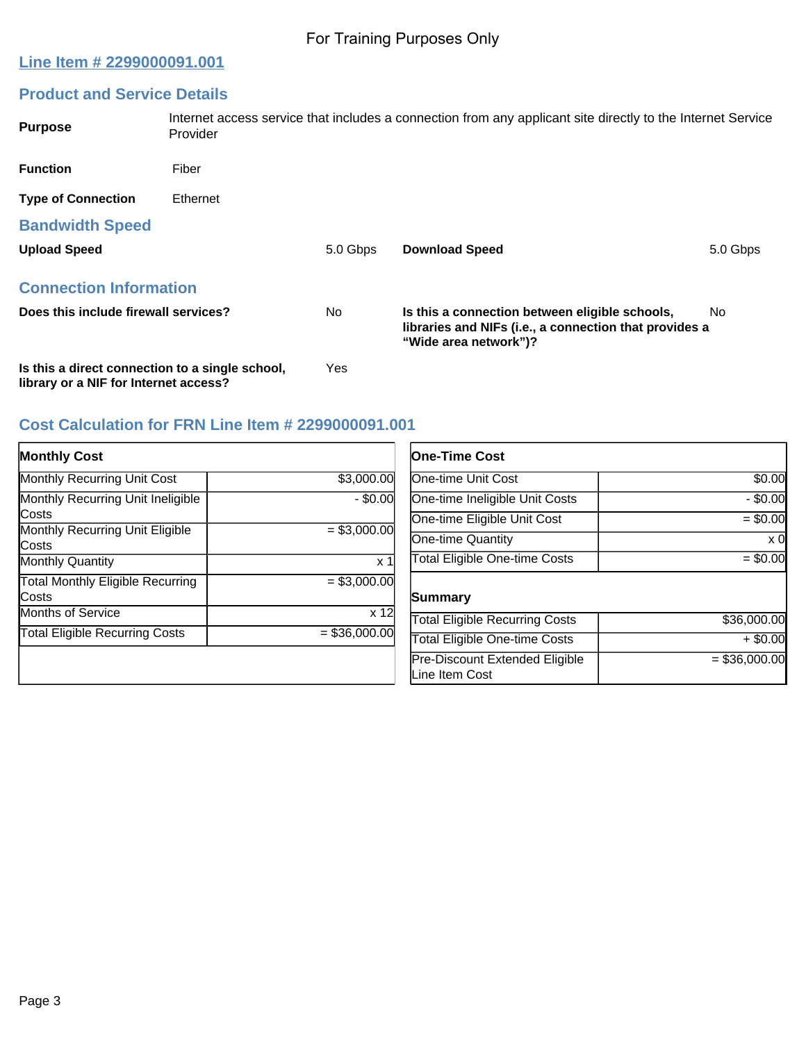### **Line Item # 2299000091.001**

# **Product and Service Details**

| <b>Purpose</b>                                                                           | Provider |          | Internet access service that includes a connection from any applicant site directly to the Internet Service                       |          |
|------------------------------------------------------------------------------------------|----------|----------|-----------------------------------------------------------------------------------------------------------------------------------|----------|
| <b>Function</b>                                                                          | Fiber    |          |                                                                                                                                   |          |
| <b>Type of Connection</b>                                                                | Ethernet |          |                                                                                                                                   |          |
| <b>Bandwidth Speed</b>                                                                   |          |          |                                                                                                                                   |          |
| <b>Upload Speed</b>                                                                      |          | 5.0 Gbps | <b>Download Speed</b>                                                                                                             | 5.0 Gbps |
| <b>Connection Information</b>                                                            |          |          |                                                                                                                                   |          |
| Does this include firewall services?                                                     |          | No.      | Is this a connection between eligible schools,<br>libraries and NIFs (i.e., a connection that provides a<br>"Wide area network")? | No.      |
| Is this a direct connection to a single school,<br>library or a NIF for Internet access? |          | Yes      |                                                                                                                                   |          |

## **Cost Calculation for FRN Line Item # 2299000091.001**

| <b>Monthly Cost</b>                      |                | <b>One-Time Cost</b>                             |                |
|------------------------------------------|----------------|--------------------------------------------------|----------------|
| <b>Monthly Recurring Unit Cost</b>       | \$3,000.00     | <b>One-time Unit Cost</b>                        | \$0.00         |
| Monthly Recurring Unit Ineligible        | $-$ \$0.00     | One-time Ineligible Unit Costs                   | $-$ \$0.00     |
| Costs                                    |                | One-time Eligible Unit Cost                      | $= $0.00$      |
| Monthly Recurring Unit Eligible<br>Costs | $= $3,000.00$  | One-time Quantity                                | $\times 0$     |
| <b>Monthly Quantity</b>                  | x <sub>1</sub> | <b>Total Eligible One-time Costs</b>             | $= $0.00$      |
| Total Monthly Eligible Recurring         | $=$ \$3,000.00 |                                                  |                |
| Costs                                    |                | Summary                                          |                |
| <b>Months of Service</b>                 | x 12           | <b>Total Eligible Recurring Costs</b>            | \$36,000.00    |
| <b>Total Eligible Recurring Costs</b>    | $= $36,000.00$ | <b>Total Eligible One-time Costs</b>             | $+$ \$0.00     |
|                                          |                | Pre-Discount Extended Eligible<br>Line Item Cost | $= $36,000.00$ |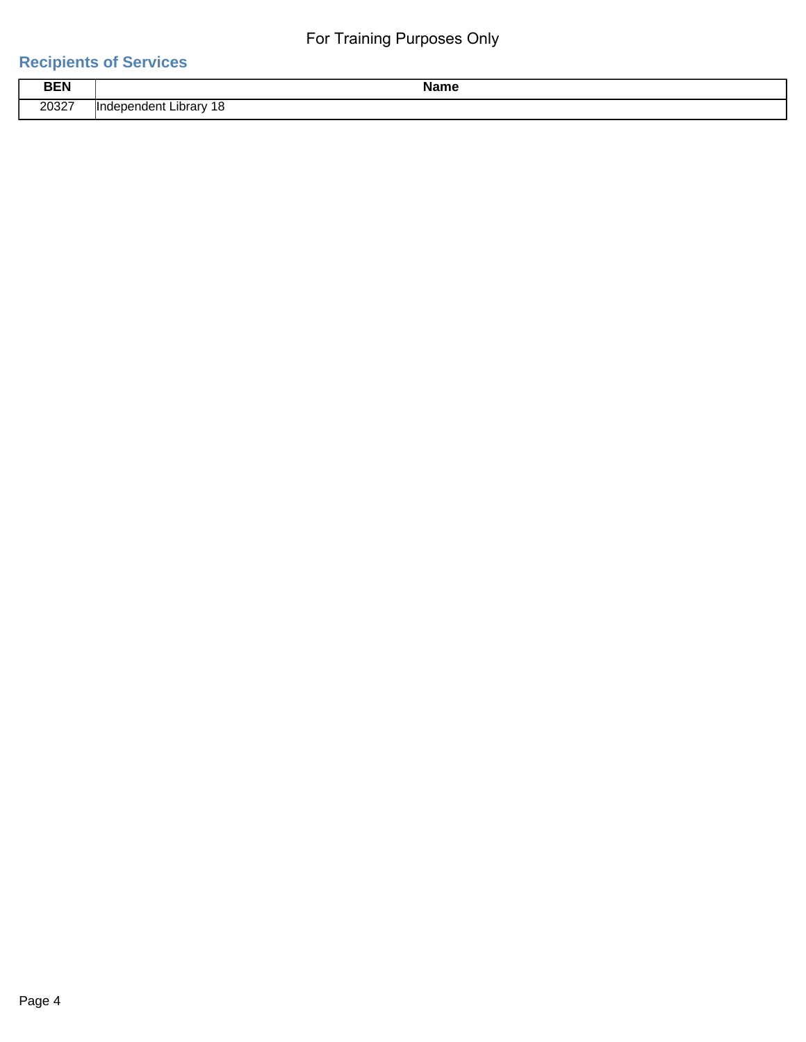# **Recipients of Services**

|            | .                                                         |
|------------|-----------------------------------------------------------|
| <b>BEN</b> | me                                                        |
| 20327      | วrarv<br>ונונ<br>10<br>.<br>⊶י<br>$-$<br>$\sim$<br>$\sim$ |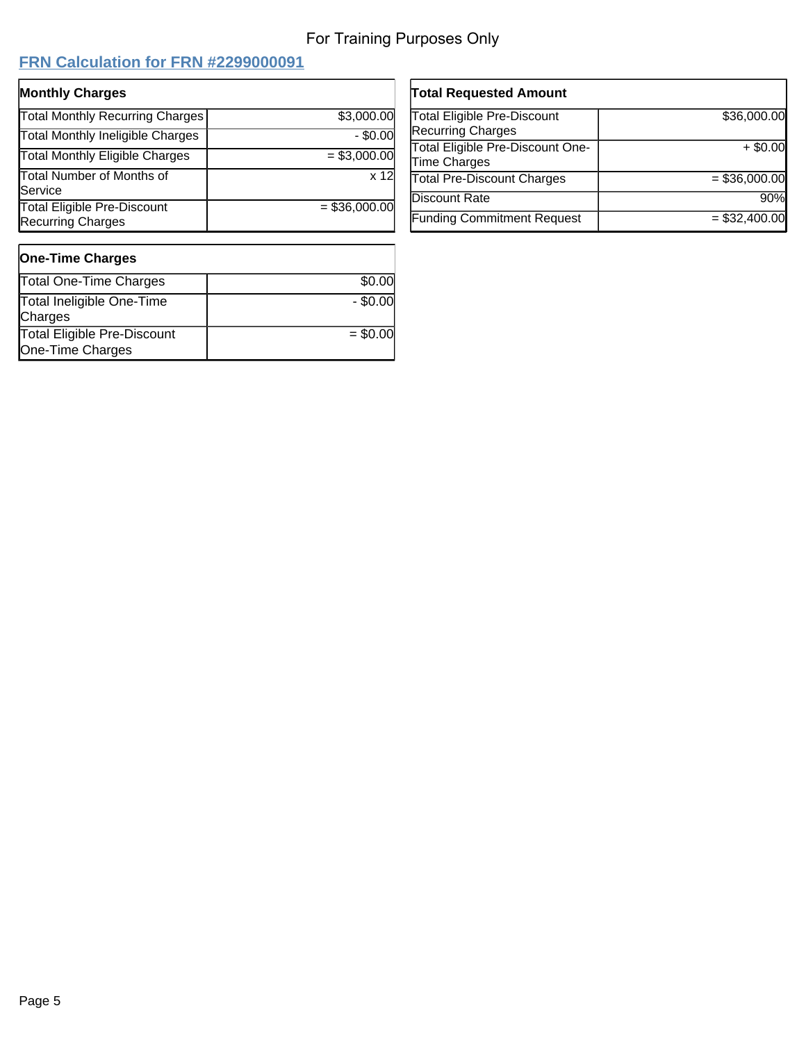# **FRN Calculation for FRN #2299000091**

| <b>Monthly Charges</b>                                         |                 |
|----------------------------------------------------------------|-----------------|
| <b>Total Monthly Recurring Charges</b>                         | \$3,000.00      |
| <b>Total Monthly Ineligible Charges</b>                        | $-$ \$0.00      |
| <b>Total Monthly Eligible Charges</b>                          | $= $3,000.00$   |
| <b>Total Number of Months of</b><br>Service                    | x 12            |
| <b>Total Eligible Pre-Discount</b><br><b>Recurring Charges</b> | $=$ \$36,000.00 |

| <b>Total Requested Amount</b>                           |                |
|---------------------------------------------------------|----------------|
| Total Eligible Pre-Discount<br><b>Recurring Charges</b> | \$36,000.00    |
| Total Eligible Pre-Discount One-<br>Time Charges        | $+$ \$0.00     |
| <b>Total Pre-Discount Charges</b>                       | $= $36,000.00$ |
| Discount Rate                                           | 90%            |
| <b>Funding Commitment Request</b>                       | $= $32,400.00$ |

#### **One-Time Charges** Total One-Time Charges **\$0.00** Total Ineligible One-Time **Charges**  $-$  \$0.00 Total Eligible Pre-Discount One-Time Charges  $= $0.00$

| Page 5 |  |
|--------|--|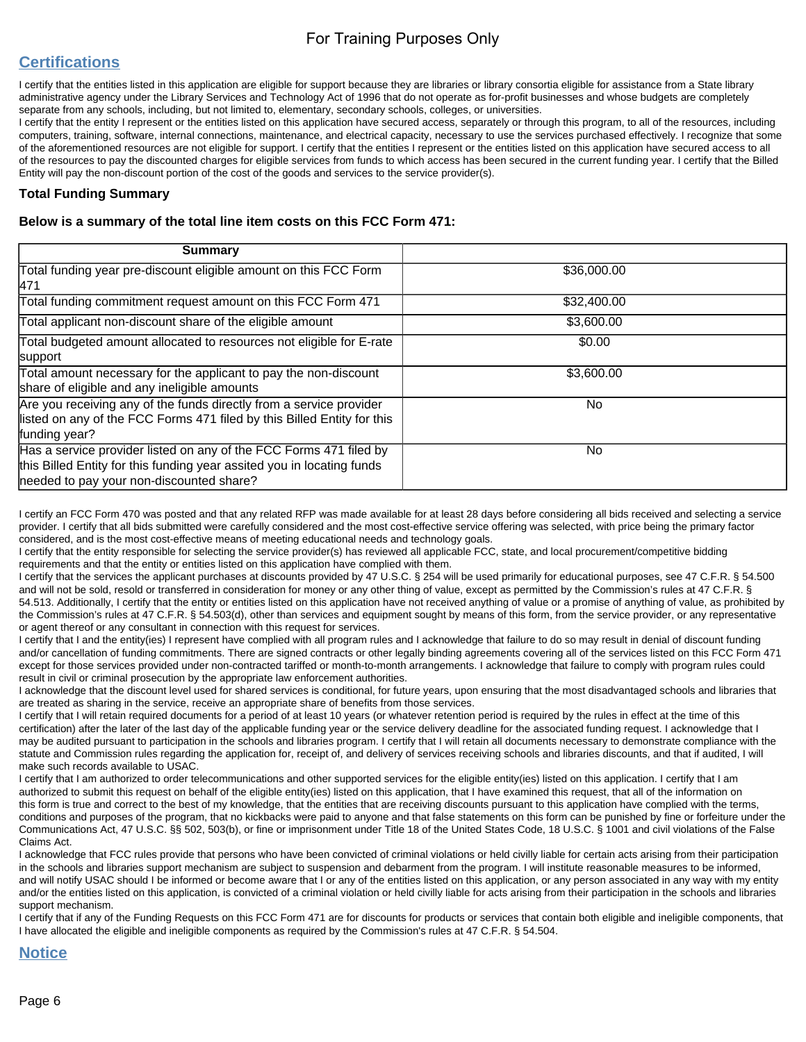## **Certifications**

I certify that the entities listed in this application are eligible for support because they are libraries or library consortia eligible for assistance from a State library administrative agency under the Library Services and Technology Act of 1996 that do not operate as for-profit businesses and whose budgets are completely separate from any schools, including, but not limited to, elementary, secondary schools, colleges, or universities.

I certify that the entity I represent or the entities listed on this application have secured access, separately or through this program, to all of the resources, including computers, training, software, internal connections, maintenance, and electrical capacity, necessary to use the services purchased effectively. I recognize that some of the aforementioned resources are not eligible for support. I certify that the entities I represent or the entities listed on this application have secured access to all of the resources to pay the discounted charges for eligible services from funds to which access has been secured in the current funding year. I certify that the Billed Entity will pay the non-discount portion of the cost of the goods and services to the service provider(s).

#### **Total Funding Summary**

#### **Below is a summary of the total line item costs on this FCC Form 471:**

| <b>Summary</b>                                                                                                                                                                           |             |
|------------------------------------------------------------------------------------------------------------------------------------------------------------------------------------------|-------------|
| Total funding year pre-discount eligible amount on this FCC Form<br>471                                                                                                                  | \$36,000.00 |
| Total funding commitment request amount on this FCC Form 471                                                                                                                             | \$32,400.00 |
| Total applicant non-discount share of the eligible amount                                                                                                                                | \$3,600.00  |
| Total budgeted amount allocated to resources not eligible for E-rate<br>support                                                                                                          | \$0.00      |
| Total amount necessary for the applicant to pay the non-discount<br>share of eligible and any ineligible amounts                                                                         | \$3,600.00  |
| Are you receiving any of the funds directly from a service provider<br>listed on any of the FCC Forms 471 filed by this Billed Entity for this<br>funding year?                          | No.         |
| Has a service provider listed on any of the FCC Forms 471 filed by<br>this Billed Entity for this funding year assited you in locating funds<br>needed to pay your non-discounted share? | No.         |

I certify an FCC Form 470 was posted and that any related RFP was made available for at least 28 days before considering all bids received and selecting a service provider. I certify that all bids submitted were carefully considered and the most cost-effective service offering was selected, with price being the primary factor considered, and is the most cost-effective means of meeting educational needs and technology goals.

I certify that the entity responsible for selecting the service provider(s) has reviewed all applicable FCC, state, and local procurement/competitive bidding requirements and that the entity or entities listed on this application have complied with them.

I certify that the services the applicant purchases at discounts provided by 47 U.S.C. § 254 will be used primarily for educational purposes, see 47 C.F.R. § 54.500 and will not be sold, resold or transferred in consideration for money or any other thing of value, except as permitted by the Commission's rules at 47 C.F.R. § 54.513. Additionally, I certify that the entity or entities listed on this application have not received anything of value or a promise of anything of value, as prohibited by the Commission's rules at 47 C.F.R. § 54.503(d), other than services and equipment sought by means of this form, from the service provider, or any representative or agent thereof or any consultant in connection with this request for services.

I certify that I and the entity(ies) I represent have complied with all program rules and I acknowledge that failure to do so may result in denial of discount funding and/or cancellation of funding commitments. There are signed contracts or other legally binding agreements covering all of the services listed on this FCC Form 471 except for those services provided under non-contracted tariffed or month-to-month arrangements. I acknowledge that failure to comply with program rules could result in civil or criminal prosecution by the appropriate law enforcement authorities.

I acknowledge that the discount level used for shared services is conditional, for future years, upon ensuring that the most disadvantaged schools and libraries that are treated as sharing in the service, receive an appropriate share of benefits from those services.

I certify that I will retain required documents for a period of at least 10 years (or whatever retention period is required by the rules in effect at the time of this certification) after the later of the last day of the applicable funding year or the service delivery deadline for the associated funding request. I acknowledge that I may be audited pursuant to participation in the schools and libraries program. I certify that I will retain all documents necessary to demonstrate compliance with the statute and Commission rules regarding the application for, receipt of, and delivery of services receiving schools and libraries discounts, and that if audited, I will make such records available to USAC.

I certify that I am authorized to order telecommunications and other supported services for the eligible entity(ies) listed on this application. I certify that I am authorized to submit this request on behalf of the eligible entity(ies) listed on this application, that I have examined this request, that all of the information on this form is true and correct to the best of my knowledge, that the entities that are receiving discounts pursuant to this application have complied with the terms, conditions and purposes of the program, that no kickbacks were paid to anyone and that false statements on this form can be punished by fine or forfeiture under the Communications Act, 47 U.S.C. §§ 502, 503(b), or fine or imprisonment under Title 18 of the United States Code, 18 U.S.C. § 1001 and civil violations of the False Claims Act.

I acknowledge that FCC rules provide that persons who have been convicted of criminal violations or held civilly liable for certain acts arising from their participation in the schools and libraries support mechanism are subject to suspension and debarment from the program. I will institute reasonable measures to be informed, and will notify USAC should I be informed or become aware that I or any of the entities listed on this application, or any person associated in any way with my entity and/or the entities listed on this application, is convicted of a criminal violation or held civilly liable for acts arising from their participation in the schools and libraries support mechanism.

I certify that if any of the Funding Requests on this FCC Form 471 are for discounts for products or services that contain both eligible and ineligible components, that I have allocated the eligible and ineligible components as required by the Commission's rules at 47 C.F.R. § 54.504.

#### **Notice**